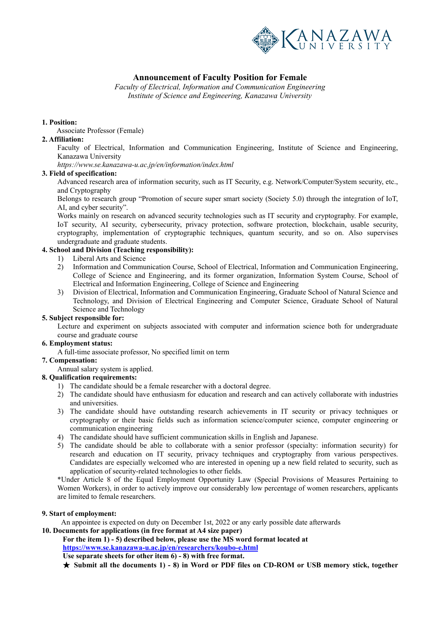

# **Announcement of Faculty Position for Female**

*Faculty of Electrical, Information and Communication Engineering Institute of Science and Engineering, Kanazawa University*

#### **1. Position:**

Associate Professor (Female)

#### **2. Affiliation:**

Faculty of Electrical, Information and Communication Engineering, Institute of Science and Engineering, Kanazawa University

*https://www.se.kanazawa-u.ac.jp/en/information/index.html* 

#### **3. Field of specification:**

Advanced research area of information security, such as IT Security, e.g. Network/Computer/System security, etc., and Cryptography

Belongs to research group "Promotion of secure super smart society (Society 5.0) through the integration of IoT, AI, and cyber security".

Works mainly on research on advanced security technologies such as IT security and cryptography. For example, IoT security, AI security, cybersecurity, privacy protection, software protection, blockchain, usable security, cryptography, implementation of cryptographic techniques, quantum security, and so on. Also supervises undergraduate and graduate students.

### **4. School and Division (Teaching responsibility):**

- 1) Liberal Arts and Science
- 2) Information and Communication Course, School of Electrical, Information and Communication Engineering, College of Science and Engineering, and its former organization, Information System Course, School of Electrical and Information Engineering, College of Science and Engineering
- 3) Division of Electrical, Information and Communication Engineering, Graduate School of Natural Science and Technology, and Division of Electrical Engineering and Computer Science, Graduate School of Natural Science and Technology

#### **5. Subject responsible for:**

Lecture and experiment on subjects associated with computer and information science both for undergraduate course and graduate course

#### **6. Employment status:**

A full-time associate professor, No specified limit on term

### **7. Compensation:**

Annual salary system is applied.

### **8. Qualification requirements:**

- 1) The candidate should be a female researcher with a doctoral degree.
- 2) The candidate should have enthusiasm for education and research and can actively collaborate with industries and universities.
- 3) The candidate should have outstanding research achievements in IT security or privacy techniques or cryptography or their basic fields such as information science/computer science, computer engineering or communication engineering
- 4) The candidate should have sufficient communication skills in English and Japanese.
- 5) The candidate should be able to collaborate with a senior professor (specialty: information security) for research and education on IT security, privacy techniques and cryptography from various perspectives. Candidates are especially welcomed who are interested in opening up a new field related to security, such as application of security-related technologies to other fields.

\*Under Article 8 of the Equal Employment Opportunity Law (Special Provisions of Measures Pertaining to Women Workers), in order to actively improve our considerably low percentage of women researchers, applicants are limited to female researchers.

#### **9. Start of employment:**

 An appointee is expected on duty on December 1st, 2022 or any early possible date afterwards **10. Documents for applications (in free format at A4 size paper)** 

**For the item 1) - 5) described below, please use the MS word format located at https://www.se.kanazawa-u.ac.jp/en/researchers/koubo-e.html**

**Use separate sheets for other item 6) - 8) with free format.** 

★ **Submit all the documents 1) - 8) in Word or PDF files on CD-ROM or USB memory stick, together**